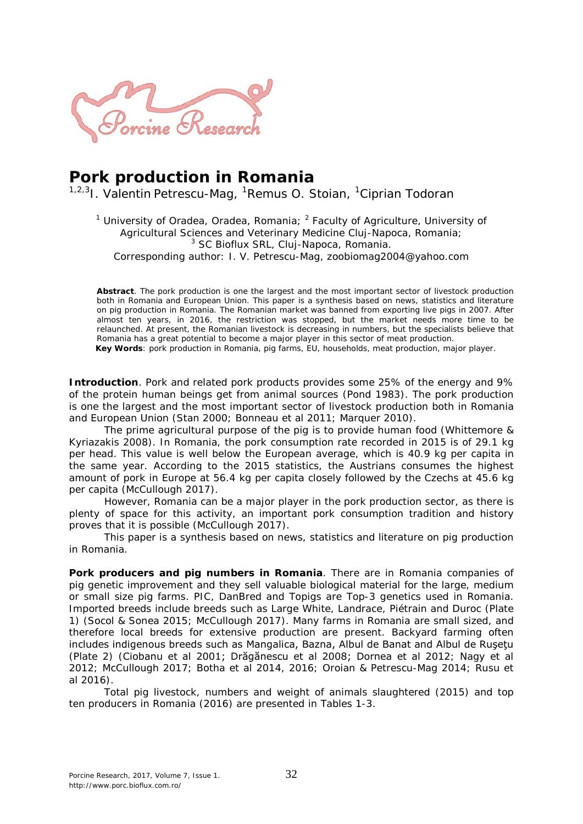

## **Pork production in Romania**

<sup>1,2,3</sup>I. Valentin Petrescu-Mag, <sup>1</sup>Remus O. Stoian, <sup>1</sup>Ciprian Todoran

<sup>1</sup> University of Oradea, Oradea, Romania;  $^2$  Faculty of Agriculture, University of Agricultural Sciences and Veterinary Medicine Cluj-Napoca, Romania; <sup>3</sup> SC Bioflux SRL, Cluj-Napoca, Romania. Corresponding author: I. V. Petrescu-Mag, zoobiomag2004@yahoo.com

**Abstract**. The pork production is one the largest and the most important sector of livestock production both in Romania and European Union. This paper is a synthesis based on news, statistics and literature on pig production in Romania. The Romanian market was banned from exporting live pigs in 2007. After almost ten years, in 2016, the restriction was stopped, but the market needs more time to be relaunched. At present, the Romanian livestock is decreasing in numbers, but the specialists believe that Romania has a great potential to become a major player in this sector of meat production.

**Key Words**: pork production in Romania, pig farms, EU, households, meat production, major player.

**Introduction**. Pork and related pork products provides some 25% of the energy and 9% of the protein human beings get from animal sources (Pond 1983). The pork production is one the largest and the most important sector of livestock production both in Romania and European Union (Stan 2000; Bonneau et al 2011; Marquer 2010).

The prime agricultural purpose of the pig is to provide human food (Whittemore & Kyriazakis 2008). In Romania, the pork consumption rate recorded in 2015 is of 29.1 kg per head. This value is well below the European average, which is 40.9 kg per capita in the same year. According to the 2015 statistics, the Austrians consumes the highest amount of pork in Europe at 56.4 kg per capita closely followed by the Czechs at 45.6 kg per capita (McCullough 2017).

However, Romania can be a major player in the pork production sector, as there is plenty of space for this activity, an important pork consumption tradition and history proves that it is possible (McCullough 2017).

This paper is a synthesis based on news, statistics and literature on pig production in Romania.

**Pork producers and pig numbers in Romania**. There are in Romania companies of pig genetic improvement and they sell valuable biological material for the large, medium or small size pig farms. PIC, DanBred and Topigs are Top-3 genetics used in Romania. Imported breeds include breeds such as Large White, Landrace, Piétrain and Duroc (Plate 1) (Socol & Sonea 2015; McCullough 2017). Many farms in Romania are small sized, and therefore local breeds for extensive production are present. Backyard farming often includes indigenous breeds such as Mangalica, Bazna, Albul de Banat and Albul de Ruşeţu (Plate 2) (Ciobanu et al 2001; Drăgănescu et al 2008; Dornea et al 2012; Nagy et al 2012; McCullough 2017; Botha et al 2014, 2016; Oroian & Petrescu-Mag 2014; Rusu et al 2016).

Total pig livestock, numbers and weight of animals slaughtered (2015) and top ten producers in Romania (2016) are presented in Tables 1-3.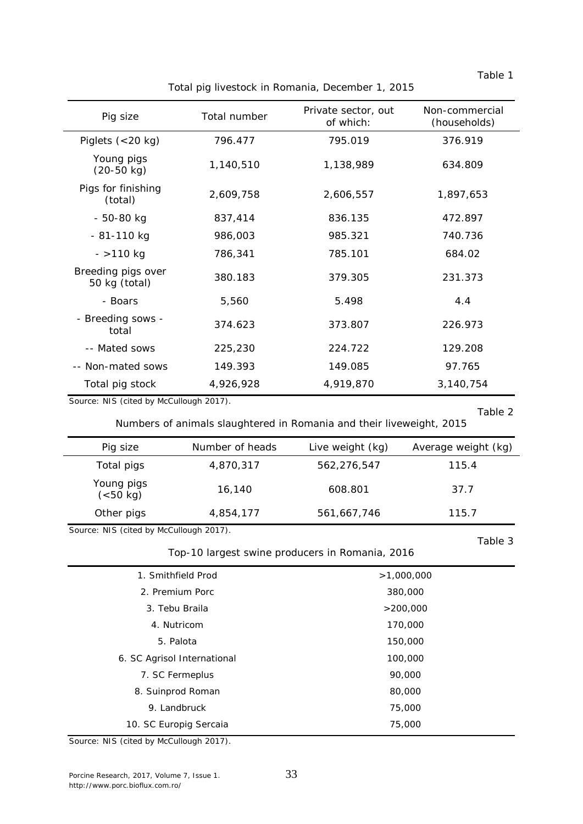| Pig size                            | Total number | Private sector, out<br>of which: | Non-commercial<br>(households) |
|-------------------------------------|--------------|----------------------------------|--------------------------------|
| Piglets $(<$ 20 kg)                 | 796.477      | 795.019                          | 376.919                        |
| Young pigs<br>$(20-50$ kg)          | 1,140,510    | 1,138,989                        | 634.809                        |
| Pigs for finishing<br>(total)       | 2,609,758    | 2,606,557                        | 1,897,653                      |
| $-50-80$ kg                         | 837,414      | 836.135                          | 472.897                        |
| - 81-110 kg                         | 986,003      | 985.321                          | 740.736                        |
| $-$ >110 kg                         | 786,341      | 785.101                          | 684.02                         |
| Breeding pigs over<br>50 kg (total) | 380.183      | 379.305                          | 231.373                        |
| - Boars                             | 5,560        | 5.498                            | 4.4                            |
| - Breeding sows -<br>total          | 374.623      | 373.807                          | 226.973                        |
| -- Mated sows                       | 225,230      | 224.722                          | 129.208                        |
| -- Non-mated sows                   | 149.393      | 149.085                          | 97.765                         |
| Total pig stock                     | 4,926,928    | 4,919,870                        | 3,140,754                      |

Total pig livestock in Romania, December 1, 2015

Source: NIS (cited by McCullough 2017).

 $\overline{\phantom{a}}$ 

Table 2

Table 1

| Numbers of animals slaughtered in Romania and their liveweight, 2015 |  |  |
|----------------------------------------------------------------------|--|--|
|                                                                      |  |  |

| Pig size                | Number of heads | Live weight (kg) | Average weight (kg) |
|-------------------------|-----------------|------------------|---------------------|
| Total pigs              | 4,870,317       | 562,276,547      | 115.4               |
| Young pigs<br>(< 50 kg) | 16,140          | 608.801          | 37.7                |
| Other pigs              | 4,854,177       | 561,667,746      | 115.7               |
|                         |                 |                  |                     |

Source: NIS (cited by McCullough 2017).

Top-10 largest swine producers in Romania, 2016

Table 3

| 1. Smithfield Prod          | >1,000,000 |  |
|-----------------------------|------------|--|
| 2. Premium Porc             | 380,000    |  |
| 3. Tebu Braila              | >200,000   |  |
| 4. Nutricom                 | 170,000    |  |
| 5. Palota                   | 150,000    |  |
| 6. SC Agrisol International | 100,000    |  |
| 7. SC Fermeplus             | 90,000     |  |
| 8. Suinprod Roman           | 80,000     |  |
| 9. Landbruck                | 75,000     |  |
| 10. SC Europig Sercaia      | 75,000     |  |

Source: NIS (cited by McCullough 2017).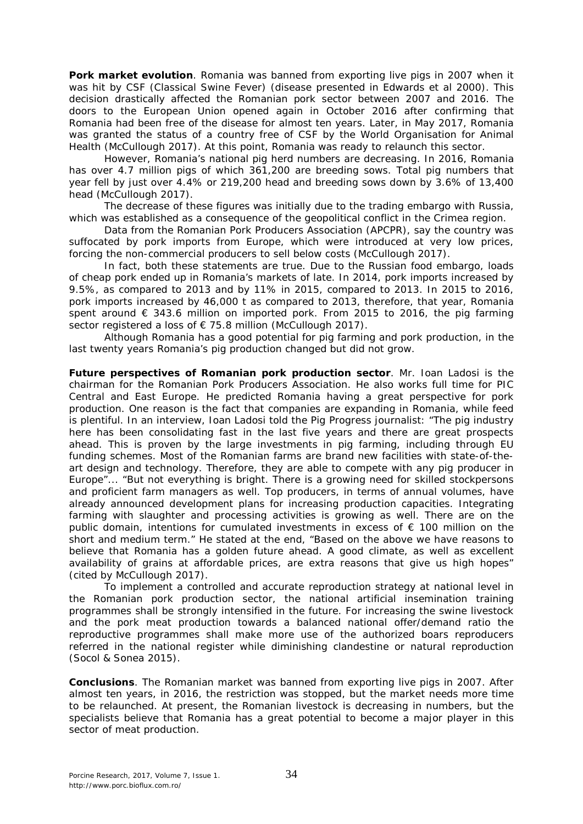**Pork market evolution**. Romania was banned from exporting live pigs in 2007 when it was hit by CSF (Classical Swine Fever) (disease presented in Edwards et al 2000). This decision drastically affected the Romanian pork sector between 2007 and 2016. The doors to the European Union opened again in October 2016 after confirming that Romania had been free of the disease for almost ten years. Later, in May 2017, Romania was granted the status of a country free of CSF by the World Organisation for Animal Health (McCullough 2017). At this point, Romania was ready to relaunch this sector.

However, Romania's national pig herd numbers are decreasing. In 2016, Romania has over 4.7 million pigs of which 361,200 are breeding sows. Total pig numbers that year fell by just over 4.4% or 219,200 head and breeding sows down by 3.6% of 13,400 head (McCullough 2017).

The decrease of these figures was initially due to the trading embargo with Russia, which was established as a consequence of the geopolitical conflict in the Crimea region.

Data from the Romanian Pork Producers Association (APCPR), say the country was suffocated by pork imports from Europe, which were introduced at very low prices, forcing the non-commercial producers to sell below costs (McCullough 2017).

In fact, both these statements are true. Due to the Russian food embargo, loads of cheap pork ended up in Romania's markets of late. In 2014, pork imports increased by 9.5%, as compared to 2013 and by 11% in 2015, compared to 2013. In 2015 to 2016, pork imports increased by 46,000 t as compared to 2013, therefore, that year, Romania spent around  $\epsilon$  343.6 million on imported pork. From 2015 to 2016, the pig farming sector registered a loss of € 75.8 million (McCullough 2017).

Although Romania has a good potential for pig farming and pork production, in the last twenty years Romania's pig production changed but did not grow.

**Future perspectives of Romanian pork production sector**. Mr. Ioan Ladosi is the chairman for the Romanian Pork Producers Association. He also works full time for PIC Central and East Europe. He predicted Romania having a great perspective for pork production. One reason is the fact that companies are expanding in Romania, while feed is plentiful. In an interview, Ioan Ladosi told the Pig Progress journalist: "The pig industry here has been consolidating fast in the last five years and there are great prospects ahead. This is proven by the large investments in pig farming, including through EU funding schemes. Most of the Romanian farms are brand new facilities with state-of-theart design and technology. Therefore, they are able to compete with any pig producer in Europe"... "But not everything is bright. There is a growing need for skilled stockpersons and proficient farm managers as well. Top producers, in terms of annual volumes, have already announced development plans for increasing production capacities. Integrating farming with slaughter and processing activities is growing as well. There are on the public domain, intentions for cumulated investments in excess of  $\epsilon$  100 million on the short and medium term." He stated at the end, "Based on the above we have reasons to believe that Romania has a golden future ahead. A good climate, as well as excellent availability of grains at affordable prices, are extra reasons that give us high hopes" (cited by McCullough 2017).

To implement a controlled and accurate reproduction strategy at national level in the Romanian pork production sector, the national artificial insemination training programmes shall be strongly intensified in the future. For increasing the swine livestock and the pork meat production towards a balanced national offer/demand ratio the reproductive programmes shall make more use of the authorized boars reproducers referred in the national register while diminishing clandestine or natural reproduction (Socol & Sonea 2015).

**Conclusions**. The Romanian market was banned from exporting live pigs in 2007. After almost ten years, in 2016, the restriction was stopped, but the market needs more time to be relaunched. At present, the Romanian livestock is decreasing in numbers, but the specialists believe that Romania has a great potential to become a major player in this sector of meat production.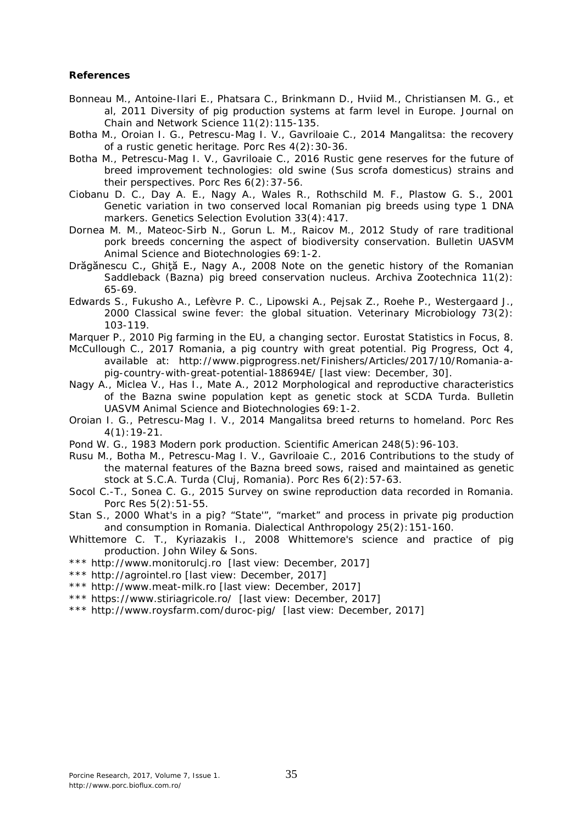## **References**

- Bonneau M., Antoine-Ilari E., Phatsara C., Brinkmann D., Hviid M., Christiansen M. G., et al, 2011 Diversity of pig production systems at farm level in Europe. Journal on Chain and Network Science 11(2):115-135.
- Botha M., Oroian I. G., Petrescu-Mag I. V., Gavriloaie C., 2014 Mangalitsa: the recovery of a rustic genetic heritage. Porc Res 4(2):30-36.
- Botha M., Petrescu-Mag I. V., Gavriloaie C., 2016 Rustic gene reserves for the future of breed improvement technologies: old swine (*Sus scrofa domesticus*) strains and their perspectives. Porc Res 6(2):37-56.
- Ciobanu D. C., Day A. E., Nagy A., Wales R., Rothschild M. F., Plastow G. S., 2001 Genetic variation in two conserved local Romanian pig breeds using type 1 DNA markers. Genetics Selection Evolution 33(4):417.
- Dornea M. M., Mateoc-Sirb N., Gorun L. M., Raicov M., 2012 Study of rare traditional pork breeds concerning the aspect of biodiversity conservation. Bulletin UASVM Animal Science and Biotechnologies 69:1-2.
- Drăgănescu C., Ghită E., Nagy A., 2008 Note on the genetic history of the Romanian Saddleback (Bazna) pig breed conservation nucleus. Archiva Zootechnica 11(2): 65-69.
- Edwards S., Fukusho A., Lefèvre P. C., Lipowski A., Pejsak Z., Roehe P., Westergaard J., 2000 Classical swine fever: the global situation. Veterinary Microbiology 73(2): 103-119.
- Marquer P., 2010 Pig farming in the EU, a changing sector. Eurostat Statistics in Focus, 8.
- McCullough C., 2017 Romania, a pig country with great potential. Pig Progress, Oct 4, available at: http://www.pigprogress.net/Finishers/Articles/2017/10/Romania-apig-country-with-great-potential-188694E/ [last view: December, 30].
- Nagy A., Miclea V., Has I., Mate A., 2012 Morphological and reproductive characteristics of the Bazna swine population kept as genetic stock at SCDA Turda. Bulletin UASVM Animal Science and Biotechnologies 69:1-2.
- Oroian I. G., Petrescu-Mag I. V., 2014 Mangalitsa breed returns to homeland. Porc Res 4(1):19-21.
- Pond W. G., 1983 Modern pork production. Scientific American 248(5):96-103.
- Rusu M., Botha M., Petrescu-Mag I. V., Gavriloaie C., 2016 Contributions to the study of the maternal features of the Bazna breed sows, raised and maintained as genetic stock at S.C.A. Turda (Cluj, Romania). Porc Res 6(2):57-63.
- Socol C.-T., Sonea C. G., 2015 Survey on swine reproduction data recorded in Romania. Porc Res 5(2):51-55.
- Stan S., 2000 What's in a pig? "State'", "market" and process in private pig production and consumption in Romania. Dialectical Anthropology 25(2):151-160.
- Whittemore C. T., Kyriazakis I., 2008 Whittemore's science and practice of pig production. John Wiley & Sons.
- \*\*\* http://www.monitorulcj.ro [last view: December, 2017]
- \*\*\* http://agrointel.ro [last view: December, 2017]
- \*\*\* http://www.meat-milk.ro [last view: December, 2017]
- \*\*\* https://www.stiriagricole.ro/ [last view: December, 2017]
- \*\*\* http://www.roysfarm.com/duroc-pig/ [last view: December, 2017]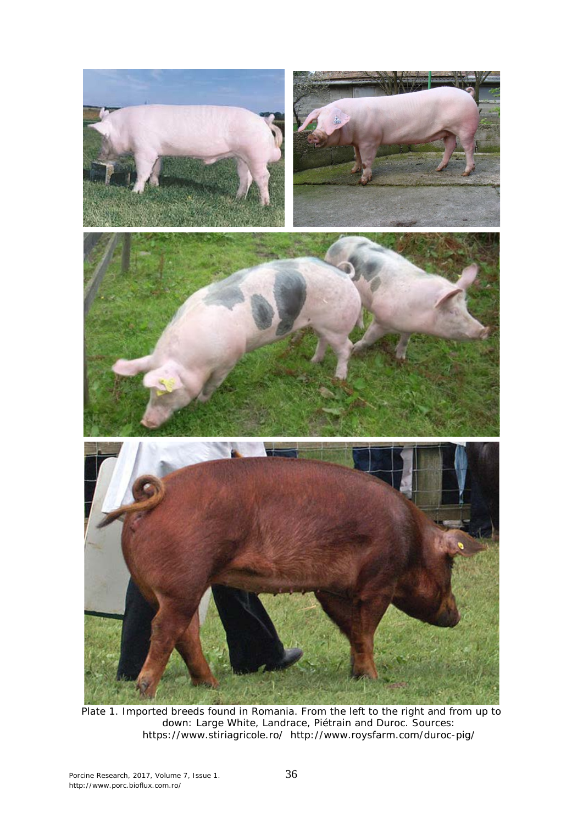

Plate 1. Imported breeds found in Romania. From the left to the right and from up to down: Large White, Landrace, Piétrain and Duroc. Sources: https://www.stiriagricole.ro/ http://www.roysfarm.com/duroc-pig/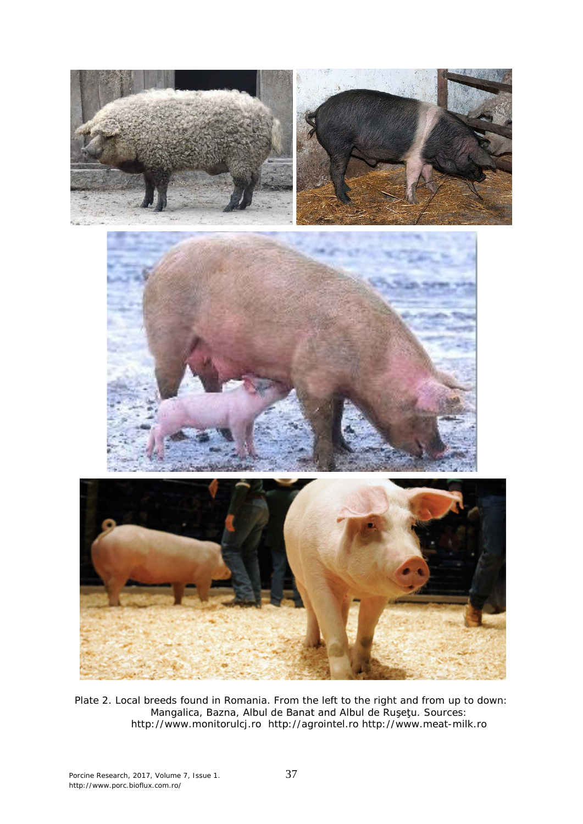

Plate 2. Local breeds found in Romania. From the left to the right and from up to down: Mangalica, Bazna, Albul de Banat and Albul de Ruşeţu. Sources: http://www.monitorulcj.ro http://agrointel.ro http://www.meat-milk.ro